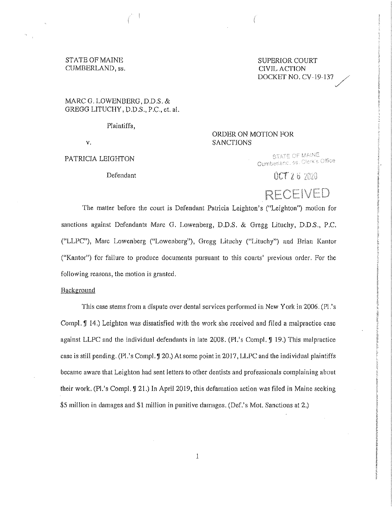# STATE OF MAINE SUPERIOR COURT CUMBERLAND, ss. CIVIL ACTION

DOCKET NO. CV-19-137

# MARC G. LOWENBERG, D.D.S. & GREGG LITUCHY, D.D.S., P.C., et. al.

Plaintiffs,

v.

# PATRICIA LEIGHTON

#### Defendant

## ORDER ON MOTION FOR SANCTIONS

**STATE OF MAINE** Cumberland, ss. Clerk's Office

 $0CT262020$ 

RECEIVED

# The matter before the court is Defendant Patricia Leighton's ("Leighton") motion for sanctions against Defendants Marc G. Lowenberg, D.D.S. & Gregg Lituchy, D.D.S., P.C. ("LLPC"), Marc Lowenberg ("Lowenberg"), Gregg Lituchy ("Lituchy") and Brian Kantor ("Kantor") for failure to produce documents pursuant to this courts' previous order. For the following reasons, the motion is granted.

#### **Background**

This case stems from a dispute over dental services performed in New York in 2006. (Pl *.'s*  Compl. **l)** 14.) Leighton was dissatisfied with the work she received and filed a malpractice case against LLPC and the individual defendants in late 2008. (Pl.'s Compl. **l)** 19.) This malpractice case is still pending. (Pl.'s Compl. **J** 20.) At some point in 2017, LLPC and the individual plaintiffs became aware that Leighton had sent letters to other dentists and professionals complaining about their work. (Pl.'s Compl. **l)** 21.) **In** April 2019, this defamation action was filed in Maine seeking \$5 million in damages and \$1 million in punitive damages. (Def.'s Mot. Sanctions at 2.)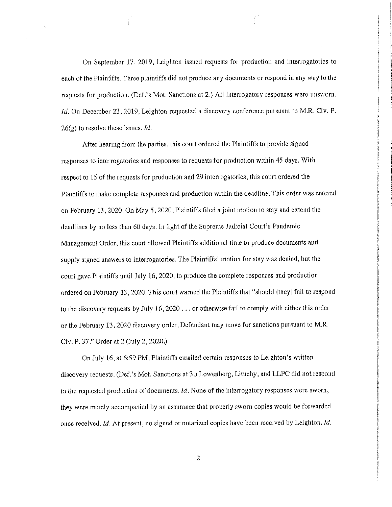On September 17, 2019, Leighton issued requests for production and interrogatories to each of the Plaintiffs. Three plaintiffs did not produce any documents or respond in any way to the requests for production. (Def.'s Mot. Sanctions at 2.) All interrogatory responses were unsworn. *ld.* On December 23, 2019, Leighton requested a discovery conference pursuant to M.R. Civ. P. 26(g) to resolve these issues. *Id.* 

After hearing from the parties, this court ordered the Plaintiffs to provide signed responses to interrogatories and responses to requests for production within 45 days. With respect to 15 of the requests for production and 29 interrogatories, this court ordered the Plaintiffs to make complete responses and production within the deadline. This order was entered on February 13, 2020. On May 5, 2020, Plaintiffs filed a joint motion to stay and extend the deadlines by no less than 60 days. In light of the Supreme Judicial Court's Pandemic Management Order, this court allowed Plaintiffs additional time to produce documents and supply signed answers to interrogatories. The Plaintiffs' motion for stay was denied, but the court gave Plaintiffs until July 16, 2020, to produce the complete responses and production ordered on February 13, 2020. This court warned the Plaintiffs that "should [they] fail to respond to the discovery requests by July 16, 2020 ... or otherwise fail to comply with either this order or the February 13, 2020 discovery order, Defendant may move for sanctions pursuant to M.R. Civ. P. 37 ." Order at 2 (July 2, 2020.)

On July 16, at 6:59 PM, Plaintiffs emailed certain responses to Leighton's written discovery requests. (Def.'s Mot. Sanctions at 3.) Lowenberg, Lituchy, and LLPC did not respond to the requested production of documents. *ld.* None of the interrogatory responses were sworn, they were merely accompanied by an assurance that properly sworn copies would be forwarded once received. *Id.* At present, no signed or notarized copies have been received by Leighton. *Id.*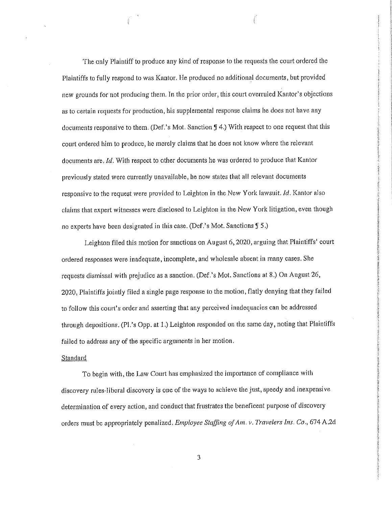The only Plaintiff to produce any kind of response to the requests the court ordered the Plaintiffs to fully respond to was Kantor. He produced no additional documents, but provided new grounds for not producing them. In the prior order, this court overruled Kantor's objections as to certain requests for production, his supplemental response claims he does not have any documents responsive to them. (Def.'s Mot. Sanction  $\S$  4.) With respect to one request that this court ordered him to produce, he merely claims that he does not know where the relevant documents are. *Id.* With respect to other documents he was ordered to produce that Kantor previously stated were currently unavailable, he now states that all relevant documents responsive to the request were provided to Leighton in the New York lawsuit. *Id.* Kantor also claims that expert witnesses were disclosed to Leighton in the New York litigation, even though no experts have been designated in this case. (Def.'s Mot. Sanctions  $\S$  5.)

Leighton filed this motion for sanctions on August 6, 2020, arguing that Plaintiffs' court ordered responses were inadequate, incomplete, and wholesale absent in many cases. She requests dismissal with prejudice as a sanction. (Def.'s Mot. Sanctions at 8.) On August 26, 2020, Plaintiffs jointly filed a single page response to the motion, flatly denying that they failed to follow this court's order and asserting that any perceived inadequacies can be addressed through depositions. (Pl.'s Opp. at 1.) Leighton responded on the same day, noting that Plaintiffs failed to address any of the specific arguments in her motion.

## **Standard**

To begin with, the Law Court has emphasized the importance of compliance with discovery rules-liberal discovery is one of the ways to achieve the just, speedy and inexpensive determination of every action, and conduct that frustrates the beneficent purpose of discovery orders must be appropriately penalized. *Employee Staffing ofAm. v. Travelers Ins. Co.,* 674 A.2d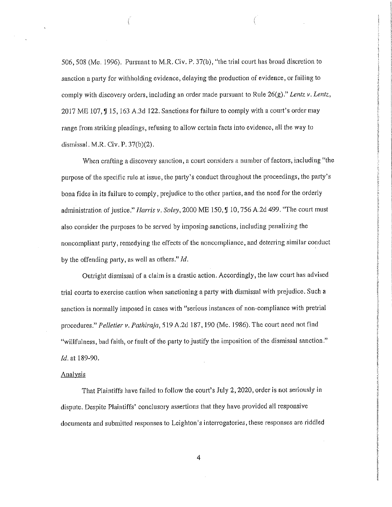506,508 (Me. 1996). Pursuant to M.R. Civ. P. 37(b), "the trial court has broad discretion to sanction a party for withholding evidence, delaying the production of evidence, or failing to comply with discovery orders, including an order made pursuant to Rule 26(g)." *Lentz v. Lentz,*  2017 ME 107, **lJ** 15, 163 A.3d 122. Sanctions for failure to comply with a court's order may range from striking pleadings, refusing to allow certain facts into evidence, all the way to dismissal. M.R. Civ. P. 37(b)(2).

When crafting a discovery sanction, a court considers a number of factors, including "the purpose of the specific rule at issue, the party's conduct throughout the proceedings, the party's bona fides in its failure to comply, prejudice to the other parties, and the need for the orderly administration of justice." *Harris v. Soley,* 2000 ME 150, **l/** 10,756 A.2d 499. "The court must also consider the purposes to be served by imposing, sanctions, including penalizing the noncompliant party, remedying the effects of the noncompliance, and deterring similar conduct by the offending party, as well as others." *ld.* 

Outright dismissal of a claim is a drastic action. Accordingly, the law court has advised trial courts to exercise caution when sanctioning a party with dismissal with prejudice. Such a sanction is normally imposed in cases with "serious instances of non-compliance with pretrial procedures." *Pelletier v. Pathiraja,* 519 A.2d 187, 190 (Me. 1986). The court need not find "willfulness, bad faith, or fault of the party to justify the imposition of the dismissal sanction." *Id.* at 189-90.

#### Analysis

That Plaintiffs have failed to follow the court's July 2, 2020, order is not seriously in dispute. Despite Plaintiffs' conclusory assertions that they have provided all responsive documents and submitted responses to Leighton's interrogatories, these responses are riddled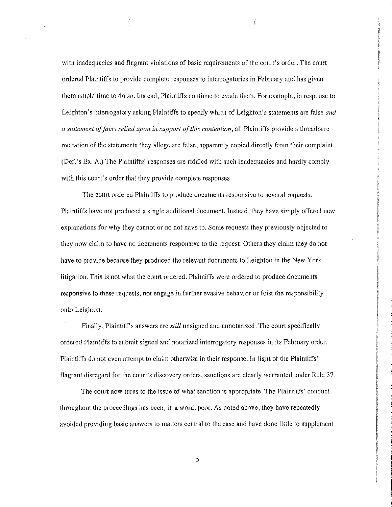with inadequacies and flagrant violations of basic requirements of the court's order. The court ordered Plaintiffs to provide complete responses to interrogatories in February and has given them ample time to do so. Instead, Plaintiffs continue to evade them. For example, in response to Leighton's interrogatory asking. Plaintiffs to specify which of Leighton's statements are false *and a statement of facts relied upon in support of this contention, all Plaintiffs provide a threadbare* recitation of the statements they allege are false, apparently copied directly from their complaint. (Def.'s Ex. A.) The Plaintiffs' responses are riddled with such inadequacies and hardly comply with this court's order that they provide complete responses.

The court ordered Plaintiffs to produce documents responsive to several requests. Plaintiffs have not produced a single additional document. Instead, they have simply offered new explanations for why they cannot or do not have to. Some requests they previously objected to they now claim to have no documents responsive to the request. Others they claim they do not have to provide because they produced the relevant documents to Leighton in the New York litigation. This is not what the court ordered. Plaintiffs were ordered to produce documents responsive to these requests, not engage in further evasive behavior or foist the responsibility onto Leighton.

Finally, Plaintiff's answers are *still* unsigned and unnotarized. The court specifically ordered Plaintiffs to submit signed and notarized interrogatory responses in its February order. Plaintiffs do not even attempt to claim otherwise in their response. In light of the Plaintiffs' flagrant disregard for the court's discovery orders, sanctions are clearly warranted under Ruic 37.

The court now turns to the issue of what sanction is appropriate. The Plaintiffs' conduct throughout the proceedings has been, in a word, poor. As noted above, they have repeatedly avoided providing basic answers to matters central to the case and have done little to supplement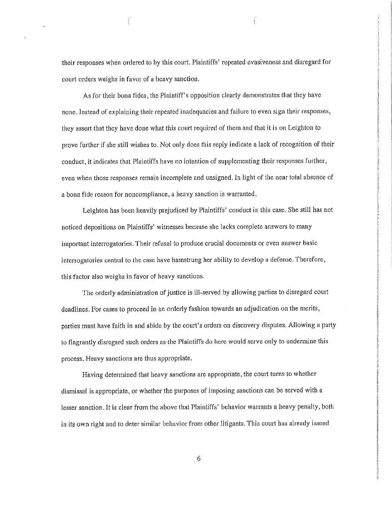their responses when ordered to by this court. Plaintiffs' repeated evasiveness and disregard for court orders weighs in favor of a heavy sanction.

As for their bona fides, the Plaintiff's opposition clearly demonstrates that they have none. Instead of explaining their repeated inadequacies and failure to even sign their responses, they assert that they have done what this court required of them and that it is on Leighton to prove further if she still wishes to. Not only does this reply indicate a lack of recognition of their conduct, it indicates that Plaintiffs have no intention of supplementing their responses further, even when those responses remain incomplete and unsigned. In light of the near total absence of a bona fide reason for noncompliance, a heavy sanction is warranted.

Leighton has been heavily prejudiced by Plaintiffs' conduct in this case. She still has not noticed depositions on Plaintiffs' witnesses because she lacks complete answers to many important interrogatories, Their refusal to produce crucial documents or even answer basic interrogatories central to the case have hamstrung her ability to develop a defense. Therefore, this factor also weighs in favor of heavy sanctions.

The orderly administration of justice is ill-served by allowing parties to disregard court deadlines. For cases to proceed in an orderly fashion towards an adjudication on the merits, parties must have faith in and abide by the court's orders on discovery disputes. Allowing a party to flagrantly disregard such orders as the Plaintiffs do here would serve only to undermine this process. Heavy sanctions are thus appropriate.

Having determined that heavy sanctions are appropriate, the court turns to whether dismissal is appropriate, or whether the pmposes of imposing sanctions can be served with a lesser sanction. It is clear from the above that Plaintiffs' behavior warrants a heavy penalty, both in its own right and to deter similar behavior from other litigants. This court has already issued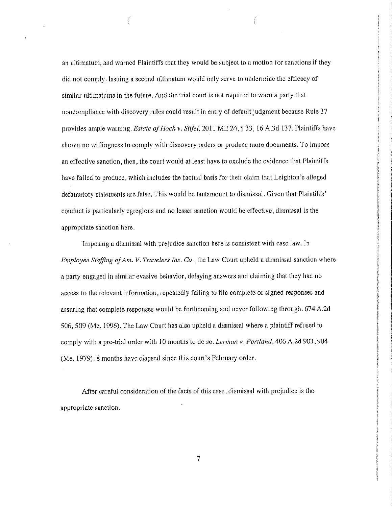an ultimatum, and warned Plaintiffs that they would be subject to a motion for sanctions if they did not comply. Issuing a second ultimatum would only serve to undermine the efficacy of similar ultimatums in the future. And the trial court is not required to warn a party that noncompliance with discovery rules could result in entry of default judgment because Rule 37 provides ample warning. *Estate of Hoch v. Stifel*, 2011 ME 24, ¶ 33, 16 A.3d 137. Plaintiffs have shown no willingness to comply with discovery orders or produce more documents. To impose an effective sanction, then, the court would at least have to exclude the evidence that Plaintiffs have failed to produce, which includes the factual basis for their claim that Leighton's alleged defamatory statements are false. This would be tantamount to dismissal. Given that Plaintiffs' conduct is particularly egregious and no lesser sanction would be effective, dismissal is the appropriate sanction here.

Imposing a dismissal with prejudice sanction here is consistent with case law. Jn *Employee Staffing ofAm. V. Travelers Ins. Co.,* the Law Court upheld a dismissal sanction where a party engaged in similar evasive behavior, delaying answers and claiming that they had no access to the relevant information, repeatedly failing to file complete or signed responses and assnring that complete responses would be forthcoming and never following through. 674 A .2d *506,509* (Me. 1996). The Law Court has also upheld a dismissal where a plaintiff refused to comply with a pre-trial order with 10 months to do so. *Lerman v. Portland,* 406A.2d 903,904 (Me. 1979). 8 months have elapsed since this court's February order.

After careful consideration of the facts of this case, dismissal with prejudice is the appropriate sanction.